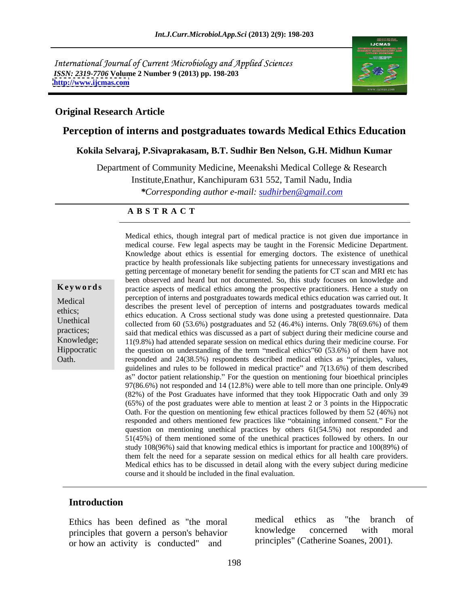International Journal of Current Microbiology and Applied Sciences *ISSN: 2319-7706* **Volume 2 Number 9 (2013) pp. 198-203 <http://www.ijcmas.com>**



### **Original Research Article**

## **Perception of interns and postgraduates towards Medical Ethics Education**

### **Kokila Selvaraj, P.Sivaprakasam, B.T. Sudhir Ben Nelson, G.H. Midhun Kumar**

Department of Community Medicine, Meenakshi Medical College & Research

Institute,Enathur, Kanchipuram 631 552, Tamil Nadu, India

*\*Corresponding author e-mail: sudhirben@gmail.com*

#### **A B S T R A C T**

**Keywords** practice aspects of medical ethics among the prospective practitioners. Hence a study on Medical enterns and postgraduates towards inedical enternal enternal was carried out. It<br>describes the present level of perception of interns and postgraduates towards medical ethics;<br>
ethics education. A Cross sectional study was done using a pretested questionnaire. Data Unethical collected from 60 (53.6%) postgraduates and 52 (46.4%) interns. Only 78(69.6%) of them practices;<br>said that medical ethics was discussed as a part of subject during their medicine course and Knowledge; 11(9.8%) had attended separate session on medical ethics during their medicine course. For Hippocratic the question on understanding of the term "medical ethics" 60 (53.6%) of them have not Medical ethics, though integral part of medical practice is not given due importance in medical course. Few legal aspects may be taught in the Forensic Medicine Department.<br>
Knowledge about ethics is essential for emergin medical course. Few legal aspects may be taught in the Forensic Medicine Department. Knowledge about ethics is essential for emerging doctors. The existence of unethical practice by health professionals like subjecting patients for unnecessary investigations and getting percentage of monetary benefit for sending the patients for CT scan and MRI etc has been observed and heard but not documented. So, this study focuses on knowledge and perception of interns and postgraduates towards medical ethics education was carried out. It responded and  $24(38.5%)$  respondents described medical ethics as "principles, values, guidelines and rules to be followed in medical practice" and  $7(13.6%)$  of them described as" doctor patient relationship." For the question on mentioning four bioethical principles 97(86.6%) not responded and 14 (12.8%) were able to tell more than one principle.Only49 (82%) of the Post Graduates have informed that they took Hippocratic Oath and only 39 (65%) of the post graduates were able to mention at least 2 or 3 points in the Hippocratic Oath. For the question on mentioning few ethical practices followed by them 52 (46%) not responded and others mentioned few practices like "obtaining informed consent." For the question on mentioning unethical practices by others 61(54.5%) not responded and 51(45%) of them mentioned some of the unethical practices followed by others. In our study 108(96%) said that knowing medical ethics is important for practice and 100(89%) of them felt the need for a separate session on medical ethics for all health care providers. Medical ethics has to be discussed in detail along with the every subject during medicine course and it should be included in the final evaluation.

### **Introduction**

principles that govern a person's behavior or how an activity is conducted" and

Ethics has been defined as "the moral medical ethics as "the branch of principles that govern a person's behavior knowledge concerned with moral medical ethics as "the branch of knowledge concerned with moral principles" (Catherine Soanes, 2001).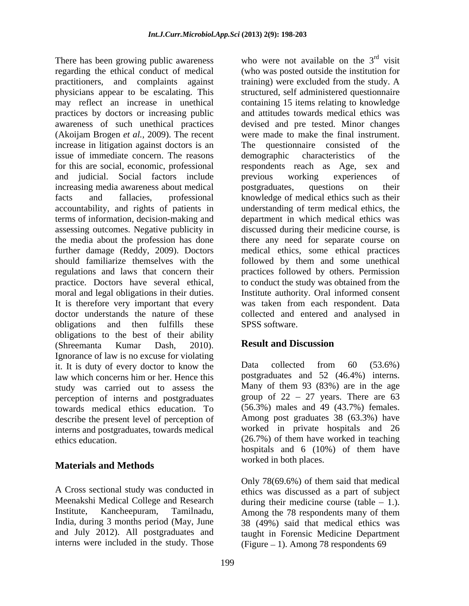There has been growing public awareness regarding the ethical conduct of medical (who was posted outside the institution for practitioners, and complaints against training) were excluded from the study. A physicians appear to be escalating. This structured, self administered questionnaire may reflect an increase in unethical containing 15 items relating to knowledge practices by doctors or increasing public awareness of such unethical practices (Akoijam Brogen *et al.,* 2009). The recent were made to make the final instrument. increase in litigation against doctors is an The questionnaire consisted of the issue of immediate concern. The reasons demographic characteristics of the for this are social, economic, professional respondents reach as Age, sex and and judicial. Social factors include increasing media awareness about medical postgraduates, questions on their facts and fallacies, professional knowledge of medical ethics such as their accountability, and rights of patients in understanding of term medical ethics, the terms of information, decision-making and department in which medical ethics was assessing outcomes. Negative publicity in discussed during their medicine course, is the media about the profession has done there any need for separate course on further damage (Reddy, 2009). Doctors should familiarize themselves with the followed by them and some unethical regulations and laws that concern their practices followed by others. Permission practice. Doctors have several ethical, moral and legal obligations in their duties. It is therefore very important that every was taken from each respondent. Data doctor understands the nature of these collected and entered and analysed in obligations and then fulfills these SPSS software. obligations to the best of their ability<br>
Shreemanta Eumar Dash 2010) **Result and Discussion** (Shreemanta Kumar Dash, 2010). **Result and Discussion**<br>Ignorance of law is no excuse for violating it. It is duty of every doctor to know the Data collected from 60 (53.6%) law which concerns him or her. Hence this postgraduates and 52 (46.4%) interns. study was carried out to assess the perception of interns and postgraduates towards medical ethics education. To describe the present level of perception of interns and postgraduates, towards medical

# **Materials and Methods**

A Cross sectional study was conducted in ethics was discussed as a part of subject Meenakshi Medical College and Research during their medicine course (table  $-1$ .). Institute, Kancheepuram, Tamilnadu, Among the 78 respondents many of them India, during 3 months period (May, June 38 (49%) said that medical ethics was and July 2012). All postgraduates and interns were included in the study. Those

who were not available on the  $3<sup>rd</sup>$  visit rd visit training) were excluded from the study. A and attitudes towards medical ethics was devised and pre tested. Minor changes The questionnaire consisted of demographic characteristics of the respondents reach as Age, sex previous working experiences of postgraduates, questions on their medical ethics, some ethical practices to conduct the study was obtained from the Institute authority. Oral informed consent SPSS software.

# **Result and Discussion**

 $(26.7\%)$  of them have worked in teaching Data collected from 60 (53.6%) postgraduates and 52 (46.4%) interns. Many of them 93 (83%) are in the age group of  $22 - 27$  years. There are  $63$ (56.3%) males and 49 (43.7%) females. Among post graduates 38 (63.3%) have worked in private hospitals and 26 (26.7%) of them have worked in teaching hospitals and 6 (10%) of them have worked in both places.

Only 78(69.6%) of them said that medical during their medicine course (table  $-1$ .).<br>Among the 78 respondents many of them taught in Forensic Medicine Department (Figure  $-1$ ). Among 78 respondents 69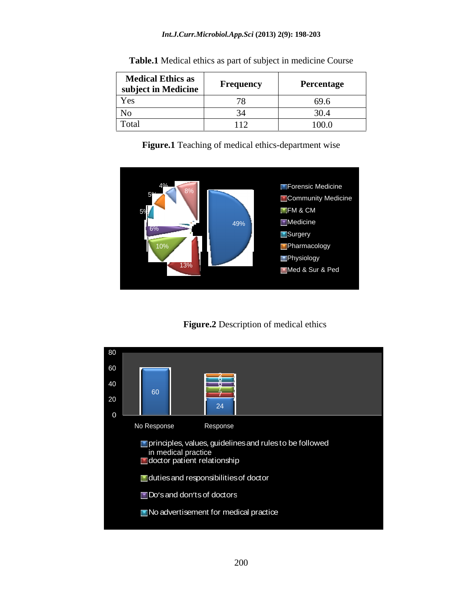#### *Int.J.Curr.Microbiol.App.Sci* **(2013) 2(9): 198-203**

| <b>Medical Ethics as</b><br>subject in Medicine | $\overline{\phantom{a}}$<br>Frequency | <b>Percentage</b> |
|-------------------------------------------------|---------------------------------------|-------------------|
| Yes                                             | - -                                   | 69.6              |
| NO                                              |                                       | 30.4              |
| Total                                           | + + ←                                 | 100.0             |

**Table.1** Medical ethics as part of subject in medicine Course

**Figure.1** Teaching of medical ethics-department wise



**Figure.2** Description of medical ethics

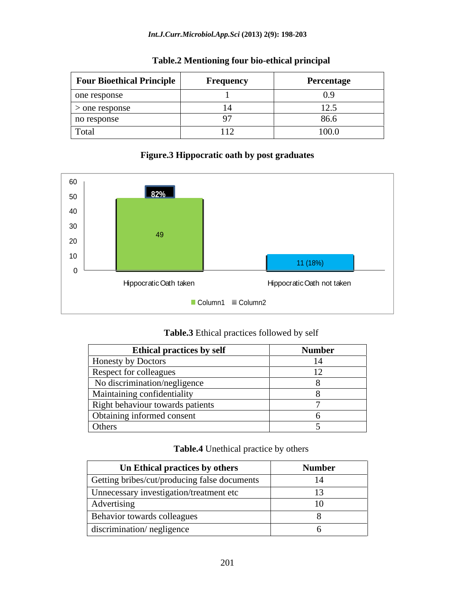| <b>Four Bioethical Principle</b> | <b>Frequency</b> | Percentage       |
|----------------------------------|------------------|------------------|
| one response                     |                  | 0.9 <sub>o</sub> |
| $>$ one response                 |                  | 14.J             |
| no response                      |                  | 86.6             |
| Total                            | 1 1 2 d          | 100.0            |

## **Table.2 Mentioning four bio-ethical principal**

## **Figure.3 Hippocratic oath by post graduates**



| Table.3<br>I practices followed by self<br>Ethical |  |
|----------------------------------------------------|--|
|----------------------------------------------------|--|

| <b>Ethical practices by self</b> | <b>Number</b> |
|----------------------------------|---------------|
| Honesty by Doctors               |               |
| Respect for colleagues           |               |
| No discrimination/negligence     |               |
| Maintaining confidentiality      |               |
| Right behaviour towards patients |               |
| Obtaining informed consent       |               |
| Others                           |               |

| <b>Table.4</b> Unethical practice by others |  |  |  |  |
|---------------------------------------------|--|--|--|--|
|                                             |  |  |  |  |

| Un Ethical practices by others               | <b>Number</b> |
|----------------------------------------------|---------------|
| Getting bribes/cut/producing false documents |               |
| Unnecessary investigation/treatment etc      |               |
| Advertising                                  |               |
| Behavior towards colleagues                  |               |
| discrimination/negligence                    |               |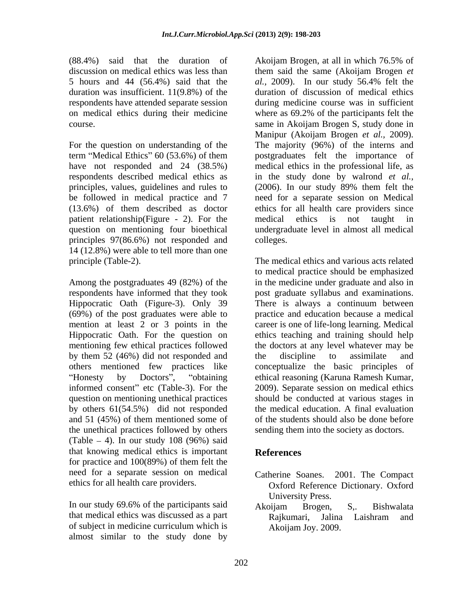(88.4%) said that the duration of Akoijam Brogen, at all in which 76.5% of 5 hours and 44 (56.4%) said that the *al.*, 2009). In our study 56.4% felt the respondents have attended separate session

For the question on understanding of the The majority (96%) of the interns and term "Medical Ethics"  $60$  (53.6%) of them principles, values, guidelines and rules to (2006). In our study 89% them felt the (13.6%) of them described as doctor patient relationship(Figure - 2). For the medical ethics is not taught in principles 97(86.6%) not responded and 14 (12.8%) were able to tell more than one principle (Table-2). The medical ethics and various acts related

Among the postgraduates 49 (82%) of the in the medicine under graduate and also in respondents have informed that they took post graduate syllabus and examinations. Hippocratic Oath (Figure-3). Only 39 There is always a continuum between (69%) of the post graduates were able to mention at least 2 or 3 points in the Hippocratic Oath. For the question on ethics teaching and training should help mentioning few ethical practices followed by them 52 (46%) did not responded and the discipline to assimilate and others mentioned few practices like conceptualize the basic principles of informed consent" etc (Table-3). For the question on mentioning unethical practices by others 61(54.5%) did not responded and 51 (45%) of them mentioned some of the unethical practices followed by others (Table  $-4$ ). In our study 108 (96%) said that knowing medical ethics is important for practice and 100(89%) of them felt the need for a separate session on medical ethics for all health care providers.

In our study 69.6% of the participants said Akoijam Brogen, S., Bishwalata that medical ethics was discussed as a part Rajkumari, Jalina Laishram and of subject in medicine curriculum which is almost similar to the study done by

discussion on medical ethics was less than them said the same (Akoijam Brogen *et*  duration was insufficient. 11(9.8%) of the duration of discussion of medical ethics on medical ethics during their medicine where as 69.2% of the participants felt the course. same in Akoijam Brogen S, study done in have not responded and 24 (38.5%) medical ethics in the professional life, as respondents described medical ethics as in the study done by walrond *et al.,* be followed in medical practice and 7 need for a separate session on Medical question on mentioning four bioethical undergraduate level in almost all medical Akoijam Brogen, at all in which 76.5% of *al.,* 2009). In our study 56.4% felt the during medicine course was in sufficient Manipur (Akoijam Brogen *et al.,* 2009). The majority (96%) of the interns and postgraduates felt the importance of (2006). In our study 89% them felt the ethics for all health care providers since medical ethics is not taught in colleges.

Honesty by Doctors", "obtaining ethical reasoning (Karuna Ramesh Kumar, to medical practice should be emphasized practice and education because a medical career is one of life-long learning. Medical the doctors at any level whatever may be the discipline to assimilate and 2009). Separate session on medical ethics should be conducted at various stages in the medical education. A final evaluation of the students should also be done before sending them into the society as doctors.

# **References**

- Catherine Soanes. 2001. The Compact Oxford Reference Dictionary. Oxford University Press.
- Akoijam Brogen, S,. Bishwalata Rajkumari, Jalina Laishram and Akoijam Joy. 2009.